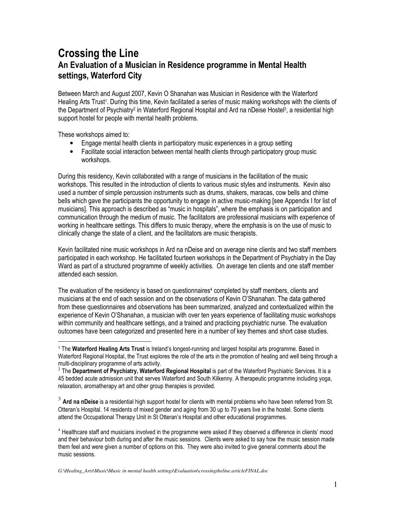# Crossing the Line An Evaluation of a Musician in Residence programme in Mental Health settings, Waterford City

Between March and August 2007, Kevin O Shanahan was Musician in Residence with the Waterford Healing Arts Trust<sup>1</sup>. During this time, Kevin facilitated a series of music making workshops with the clients of the Department of Psychiatry<sup>2</sup> in Waterford Regional Hospital and Ard na nDeise Hostel<sup>3</sup>, a residential high support hostel for people with mental health problems.

These workshops aimed to:

l.

- Engage mental health clients in participatory music experiences in a group setting
- Facilitate social interaction between mental health clients through participatory group music workshops.

During this residency, Kevin collaborated with a range of musicians in the facilitation of the music workshops. This resulted in the introduction of clients to various music styles and instruments. Kevin also used a number of simple percussion instruments such as drums, shakers, maracas, cow bells and chime bells which gave the participants the opportunity to engage in active music-making [see Appendix I for list of musicians]. This approach is described as "music in hospitals", where the emphasis is on participation and communication through the medium of music. The facilitators are professional musicians with experience of working in healthcare settings. This differs to music therapy, where the emphasis is on the use of music to clinically change the state of a client, and the facilitators are music therapists.

Kevin facilitated nine music workshops in Ard na nDeise and on average nine clients and two staff members participated in each workshop. He facilitated fourteen workshops in the Department of Psychiatry in the Day Ward as part of a structured programme of weekly activities. On average ten clients and one staff member attended each session.

The evaluation of the residency is based on questionnaires<sup>4</sup> completed by staff members, clients and musicians at the end of each session and on the observations of Kevin O'Shanahan. The data gathered from these questionnaires and observations has been summarized, analyzed and contextualized within the experience of Kevin O'Shanahan, a musician with over ten years experience of facilitating music workshops within community and healthcare settings, and a trained and practicing psychiatric nurse. The evaluation outcomes have been categorized and presented here in a number of key themes and short case studies.

 $3$  Ard na nDeise is a residential high support hostel for clients with mental problems who have been referred from St. Otteran's Hospital. 14 residents of mixed gender and aging from 30 up to 70 years live in the hostel. Some clients attend the Occupational Therapy Unit in St Otteran's Hospital and other educational programmes.

<sup>4</sup> Healthcare staff and musicians involved in the programme were asked if they observed a difference in clients' mood and their behaviour both during and after the music sessions. Clients were asked to say how the music session made them feel and were given a number of options on this. They were also invited to give general comments about the music sessions.

*G:\Healing\_Arts\Music\Music in mental health settings\Evaluation\crossingtheline.articleFINAL.doc* 

<sup>&</sup>lt;sup>1</sup> The Waterford Healing Arts Trust is Ireland's longest-running and largest hospital arts programme. Based in Waterford Regional Hospital, the Trust explores the role of the arts in the promotion of healing and well being through a multi-disciplinary programme of arts activity.

 $^2$  The Department of Psychiatry, Waterford Regional Hospital is part of the Waterford Psychiatric Services. It is a 45 bedded acute admission unit that serves Waterford and South Kilkenny. A therapeutic programme including yoga, relaxation, aromatherapy art and other group therapies is provided.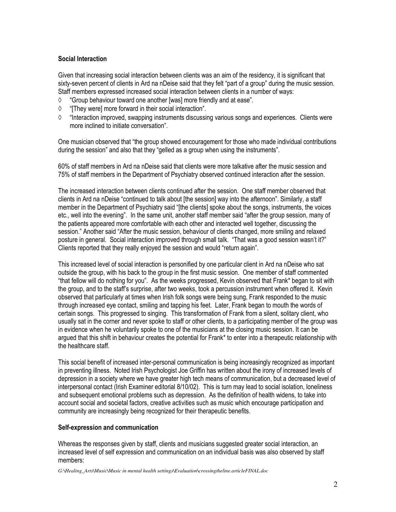## Social Interaction

Given that increasing social interaction between clients was an aim of the residency, it is significant that sixty-seven percent of clients in Ard na nDeise said that they felt "part of a group" during the music session. Staff members expressed increased social interaction between clients in a number of ways:

- ◊ "Group behaviour toward one another [was] more friendly and at ease".
- ◊ "[They were] more forward in their social interaction".
- ◊ "Interaction improved, swapping instruments discussing various songs and experiences. Clients were more inclined to initiate conversation".

One musician observed that "the group showed encouragement for those who made individual contributions during the session" and also that they "gelled as a group when using the instruments".

60% of staff members in Ard na nDeise said that clients were more talkative after the music session and 75% of staff members in the Department of Psychiatry observed continued interaction after the session.

The increased interaction between clients continued after the session. One staff member observed that clients in Ard na nDeise "continued to talk about [the session] way into the afternoon". Similarly, a staff member in the Department of Psychiatry said "[the clients] spoke about the songs, instruments, the voices etc., well into the evening". In the same unit, another staff member said "after the group session, many of the patients appeared more comfortable with each other and interacted well together, discussing the session." Another said "After the music session, behaviour of clients changed, more smiling and relaxed posture in general. Social interaction improved through small talk. "That was a good session wasn't it?" Clients reported that they really enjoyed the session and would "return again".

This increased level of social interaction is personified by one particular client in Ard na nDeise who sat outside the group, with his back to the group in the first music session. One member of staff commented "that fellow will do nothing for you". As the weeks progressed, Kevin observed that Frank\* began to sit with the group, and to the staff's surprise, after two weeks, took a percussion instrument when offered it. Kevin observed that particularly at times when Irish folk songs were being sung, Frank responded to the music through increased eye contact, smiling and tapping his feet. Later, Frank began to mouth the words of certain songs. This progressed to singing. This transformation of Frank from a silent, solitary client, who usually sat in the corner and never spoke to staff or other clients, to a participating member of the group was in evidence when he voluntarily spoke to one of the musicians at the closing music session. It can be argued that this shift in behaviour creates the potential for Frank\* to enter into a therapeutic relationship with the healthcare staff.

This social benefit of increased inter-personal communication is being increasingly recognized as important in preventing illness. Noted Irish Psychologist Joe Griffin has written about the irony of increased levels of depression in a society where we have greater high tech means of communication, but a decreased level of interpersonal contact (Irish Examiner editorial 8/10/02). This is turn may lead to social isolation, loneliness and subsequent emotional problems such as depression. As the definition of health widens, to take into account social and societal factors, creative activities such as music which encourage participation and community are increasingly being recognized for their therapeutic benefits.

#### Self-expression and communication

Whereas the responses given by staff, clients and musicians suggested greater social interaction, an increased level of self expression and communication on an individual basis was also observed by staff members:

*G:\Healing\_Arts\Music\Music in mental health settings\Evaluation\crossingtheline.articleFINAL.doc*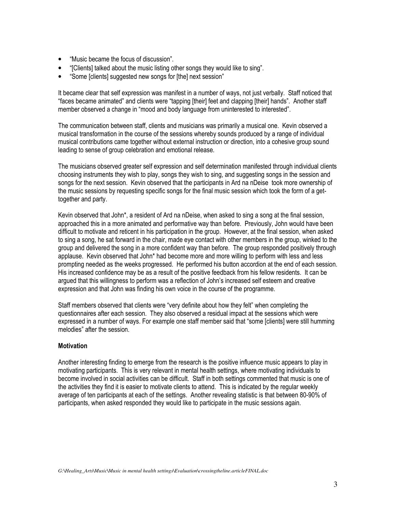- "Music became the focus of discussion".
- "[Clients] talked about the music listing other songs they would like to sing".
- "Some [clients] suggested new songs for [the] next session"

It became clear that self expression was manifest in a number of ways, not just verbally. Staff noticed that "faces became animated" and clients were "tapping [their] feet and clapping [their] hands". Another staff member observed a change in "mood and body language from uninterested to interested".

The communication between staff, clients and musicians was primarily a musical one. Kevin observed a musical transformation in the course of the sessions whereby sounds produced by a range of individual musical contributions came together without external instruction or direction, into a cohesive group sound leading to sense of group celebration and emotional release.

The musicians observed greater self expression and self determination manifested through individual clients choosing instruments they wish to play, songs they wish to sing, and suggesting songs in the session and songs for the next session. Kevin observed that the participants in Ard na nDeise took more ownership of the music sessions by requesting specific songs for the final music session which took the form of a gettogether and party.

Kevin observed that John\*, a resident of Ard na nDeise, when asked to sing a song at the final session, approached this in a more animated and performative way than before. Previously, John would have been difficult to motivate and reticent in his participation in the group. However, at the final session, when asked to sing a song, he sat forward in the chair, made eye contact with other members in the group, winked to the group and delivered the song in a more confident way than before. The group responded positively through applause. Kevin observed that John\* had become more and more willing to perform with less and less prompting needed as the weeks progressed. He performed his button accordion at the end of each session. His increased confidence may be as a result of the positive feedback from his fellow residents. It can be argued that this willingness to perform was a reflection of John's increased self esteem and creative expression and that John was finding his own voice in the course of the programme.

Staff members observed that clients were "very definite about how they felt" when completing the questionnaires after each session. They also observed a residual impact at the sessions which were expressed in a number of ways. For example one staff member said that "some [clients] were still humming melodies" after the session.

## **Motivation**

Another interesting finding to emerge from the research is the positive influence music appears to play in motivating participants. This is very relevant in mental health settings, where motivating individuals to become involved in social activities can be difficult. Staff in both settings commented that music is one of the activities they find it is easier to motivate clients to attend. This is indicated by the regular weekly average of ten participants at each of the settings. Another revealing statistic is that between 80-90% of participants, when asked responded they would like to participate in the music sessions again.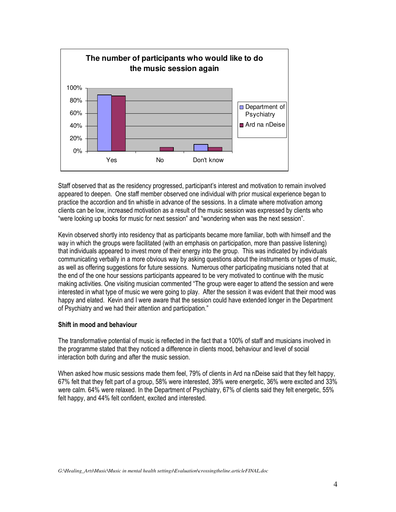

Staff observed that as the residency progressed, participant's interest and motivation to remain involved appeared to deepen. One staff member observed one individual with prior musical experience began to practice the accordion and tin whistle in advance of the sessions. In a climate where motivation among clients can be low, increased motivation as a result of the music session was expressed by clients who "were looking up books for music for next session" and "wondering when was the next session".

Kevin observed shortly into residency that as participants became more familiar, both with himself and the way in which the groups were facilitated (with an emphasis on participation, more than passive listening) that individuals appeared to invest more of their energy into the group. This was indicated by individuals communicating verbally in a more obvious way by asking questions about the instruments or types of music, as well as offering suggestions for future sessions. Numerous other participating musicians noted that at the end of the one hour sessions participants appeared to be very motivated to continue with the music making activities. One visiting musician commented "The group were eager to attend the session and were interested in what type of music we were going to play. After the session it was evident that their mood was happy and elated. Kevin and I were aware that the session could have extended longer in the Department of Psychiatry and we had their attention and participation."

## Shift in mood and behaviour

The transformative potential of music is reflected in the fact that a 100% of staff and musicians involved in the programme stated that they noticed a difference in clients mood, behaviour and level of social interaction both during and after the music session.

When asked how music sessions made them feel, 79% of clients in Ard na nDeise said that they felt happy, 67% felt that they felt part of a group, 58% were interested, 39% were energetic, 36% were excited and 33% were calm. 64% were relaxed. In the Department of Psychiatry, 67% of clients said they felt energetic, 55% felt happy, and 44% felt confident, excited and interested.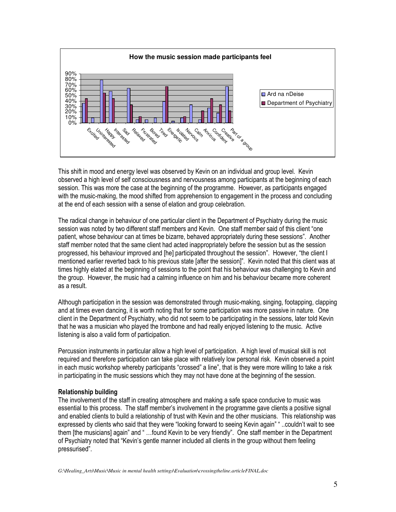

This shift in mood and energy level was observed by Kevin on an individual and group level. Kevin observed a high level of self consciousness and nervousness among participants at the beginning of each session. This was more the case at the beginning of the programme. However, as participants engaged with the music-making, the mood shifted from apprehension to engagement in the process and concluding at the end of each session with a sense of elation and group celebration.

The radical change in behaviour of one particular client in the Department of Psychiatry during the music session was noted by two different staff members and Kevin. One staff member said of this client "one patient, whose behaviour can at times be bizarre, behaved appropriately during these sessions". Another staff member noted that the same client had acted inappropriately before the session but as the session progressed, his behaviour improved and [he] participated throughout the session". However, "the client I mentioned earlier reverted back to his previous state [after the session]". Kevin noted that this client was at times highly elated at the beginning of sessions to the point that his behaviour was challenging to Kevin and the group. However, the music had a calming influence on him and his behaviour became more coherent as a result.

Although participation in the session was demonstrated through music-making, singing, footapping, clapping and at times even dancing, it is worth noting that for some participation was more passive in nature. One client in the Department of Psychiatry, who did not seem to be participating in the sessions, later told Kevin that he was a musician who played the trombone and had really enjoyed listening to the music. Active listening is also a valid form of participation.

Percussion instruments in particular allow a high level of participation. A high level of musical skill is not required and therefore participation can take place with relatively low personal risk. Kevin observed a point in each music workshop whereby participants "crossed" a line", that is they were more willing to take a risk in participating in the music sessions which they may not have done at the beginning of the session.

#### Relationship building

The involvement of the staff in creating atmosphere and making a safe space conducive to music was essential to this process. The staff member's involvement in the programme gave clients a positive signal and enabled clients to build a relationship of trust with Kevin and the other musicians. This relationship was expressed by clients who said that they were "looking forward to seeing Kevin again" " ..couldn't wait to see them [the musicians] again" and " …found Kevin to be very friendly". One staff member in the Department of Psychiatry noted that "Kevin's gentle manner included all clients in the group without them feeling pressurised".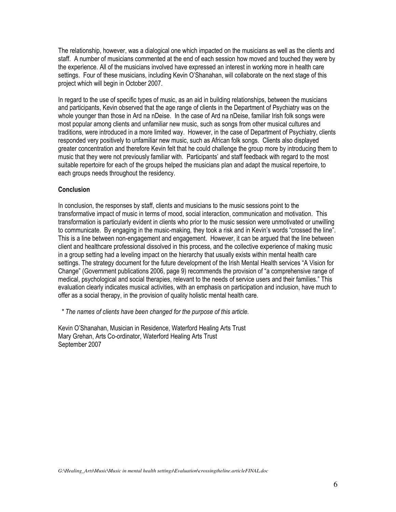The relationship, however, was a dialogical one which impacted on the musicians as well as the clients and staff. A number of musicians commented at the end of each session how moved and touched they were by the experience. All of the musicians involved have expressed an interest in working more in health care settings. Four of these musicians, including Kevin O'Shanahan, will collaborate on the next stage of this project which will begin in October 2007.

In regard to the use of specific types of music, as an aid in building relationships, between the musicians and participants, Kevin observed that the age range of clients in the Department of Psychiatry was on the whole younger than those in Ard na nDeise. In the case of Ard na nDeise, familiar Irish folk songs were most popular among clients and unfamiliar new music, such as songs from other musical cultures and traditions, were introduced in a more limited way. However, in the case of Department of Psychiatry, clients responded very positively to unfamiliar new music, such as African folk songs. Clients also displayed greater concentration and therefore Kevin felt that he could challenge the group more by introducing them to music that they were not previously familiar with. Participants' and staff feedback with regard to the most suitable repertoire for each of the groups helped the musicians plan and adapt the musical repertoire, to each groups needs throughout the residency.

#### **Conclusion**

In conclusion, the responses by staff, clients and musicians to the music sessions point to the transformative impact of music in terms of mood, social interaction, communication and motivation. This transformation is particularly evident in clients who prior to the music session were unmotivated or unwilling to communicate. By engaging in the music-making, they took a risk and in Kevin's words "crossed the line". This is a line between non-engagement and engagement. However, it can be argued that the line between client and healthcare professional dissolved in this process, and the collective experience of making music in a group setting had a leveling impact on the hierarchy that usually exists within mental health care settings. The strategy document for the future development of the Irish Mental Health services "A Vision for Change" (Government publications 2006, page 9) recommends the provision of "a comprehensive range of medical, psychological and social therapies, relevant to the needs of service users and their families." This evaluation clearly indicates musical activities, with an emphasis on participation and inclusion, have much to offer as a social therapy, in the provision of quality holistic mental health care.

\* The names of clients have been changed for the purpose of this article.

Kevin O'Shanahan, Musician in Residence, Waterford Healing Arts Trust Mary Grehan, Arts Co-ordinator, Waterford Healing Arts Trust September 2007